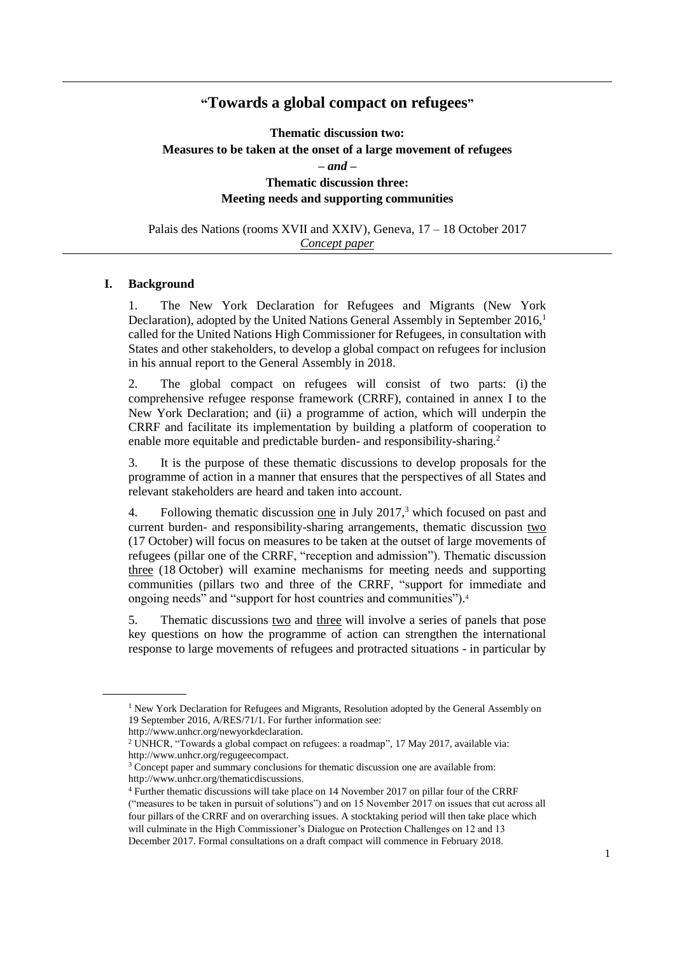# **"Towards a global compact on refugees"**

**Thematic discussion two: Measures to be taken at the onset of a large movement of refugees** *– and –* **Thematic discussion three: Meeting needs and supporting communities**

Palais des Nations (rooms XVII and XXIV), Geneva, 17 – 18 October 2017 *Concept paper* 

#### **I. Background**

1. The New York Declaration for Refugees and Migrants (New York Declaration), adopted by the United Nations General Assembly in September 2016,<sup>1</sup> called for the United Nations High Commissioner for Refugees, in consultation with States and other stakeholders, to develop a global compact on refugees for inclusion in his annual report to the General Assembly in 2018.

2. The global compact on refugees will consist of two parts: (i) the comprehensive refugee response framework (CRRF), contained in annex I to the New York Declaration; and (ii) a programme of action, which will underpin the CRRF and facilitate its implementation by building a platform of cooperation to enable more equitable and predictable burden- and responsibility-sharing.<sup>2</sup>

3. It is the purpose of these thematic discussions to develop proposals for the programme of action in a manner that ensures that the perspectives of all States and relevant stakeholders are heard and taken into account.

4. Following thematic discussion one in July 2017,<sup>3</sup> which focused on past and current burden- and responsibility-sharing arrangements, thematic discussion two (17 October) will focus on measures to be taken at the outset of large movements of refugees (pillar one of the CRRF, "reception and admission"). Thematic discussion three (18 October) will examine mechanisms for meeting needs and supporting communities (pillars two and three of the CRRF, "support for immediate and ongoing needs" and "support for host countries and communities"). 4

5. Thematic discussions two and three will involve a series of panels that pose key questions on how the programme of action can strengthen the international response to large movements of refugees and protracted situations - in particular by

<sup>&</sup>lt;sup>1</sup> New York Declaration for Refugees and Migrants, Resolution adopted by the General Assembly on 19 September 2016, A/RES/71/1. For further information see:

http://www.unhcr.org/newyorkdeclaration.

<sup>2</sup> UNHCR, "Towards a global compact on refugees: a roadmap", 17 May 2017, available via: http://www.unhcr.org/regugeecompact.

<sup>&</sup>lt;sup>3</sup> Concept paper and summary conclusions for thematic discussion one are available from: http://www.unhcr.org/thematicdiscussions.

<sup>4</sup> Further thematic discussions will take place on 14 November 2017 on pillar four of the CRRF ("measures to be taken in pursuit of solutions") and on 15 November 2017 on issues that cut across all four pillars of the CRRF and on overarching issues. A stocktaking period will then take place which will culminate in the High Commissioner's Dialogue on Protection Challenges on 12 and 13 December 2017. Formal consultations on a draft compact will commence in February 2018.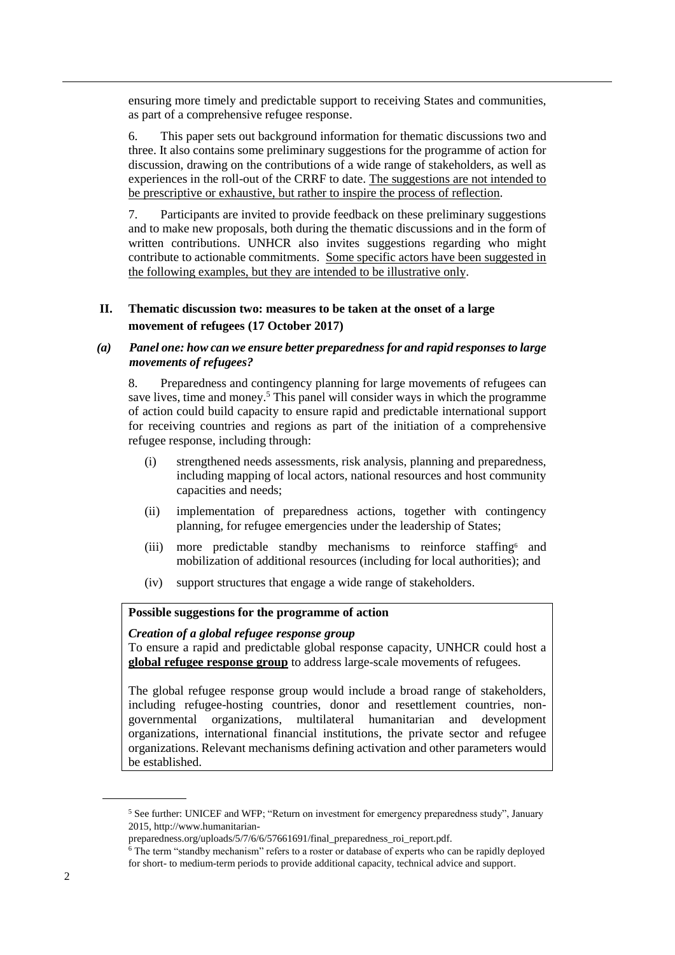ensuring more timely and predictable support to receiving States and communities, as part of a comprehensive refugee response.

6. This paper sets out background information for thematic discussions two and three. It also contains some preliminary suggestions for the programme of action for discussion, drawing on the contributions of a wide range of stakeholders, as well as experiences in the roll-out of the CRRF to date. The suggestions are not intended to be prescriptive or exhaustive, but rather to inspire the process of reflection.

7. Participants are invited to provide feedback on these preliminary suggestions and to make new proposals, both during the thematic discussions and in the form of written contributions. UNHCR also invites suggestions regarding who might contribute to actionable commitments. Some specific actors have been suggested in the following examples, but they are intended to be illustrative only.

## **II. Thematic discussion two: measures to be taken at the onset of a large movement of refugees (17 October 2017)**

## *(a) Panel one: how can we ensure better preparednessfor and rapid responses to large movements of refugees?*

8. Preparedness and contingency planning for large movements of refugees can save lives, time and money. <sup>5</sup> This panel will consider ways in which the programme of action could build capacity to ensure rapid and predictable international support for receiving countries and regions as part of the initiation of a comprehensive refugee response, including through:

- (i) strengthened needs assessments, risk analysis, planning and preparedness, including mapping of local actors, national resources and host community capacities and needs;
- (ii) implementation of preparedness actions, together with contingency planning, for refugee emergencies under the leadership of States;
- (iii) more predictable standby mechanisms to reinforce staffing and mobilization of additional resources (including for local authorities); and
- (iv) support structures that engage a wide range of stakeholders.

### **Possible suggestions for the programme of action**

#### *Creation of a global refugee response group*

To ensure a rapid and predictable global response capacity, UNHCR could host a **global refugee response group** to address large-scale movements of refugees.

The global refugee response group would include a broad range of stakeholders, including refugee-hosting countries, donor and resettlement countries, nongovernmental organizations, multilateral humanitarian and development organizations, international financial institutions, the private sector and refugee organizations. Relevant mechanisms defining activation and other parameters would be established.

<sup>5</sup> See further: UNICEF and WFP; "Return on investment for emergency preparedness study", January 2015, [http://www.humanitarian-](http://www.humanitarian-preparedness.org/uploads/5/7/6/6/57661691/final_preparedness_roi_report.pdf)

[preparedness.org/uploads/5/7/6/6/57661691/final\\_preparedness\\_roi\\_report.pdf.](http://www.humanitarian-preparedness.org/uploads/5/7/6/6/57661691/final_preparedness_roi_report.pdf)

<sup>&</sup>lt;sup>6</sup> The term "standby mechanism" refers to a roster or database of experts who can be rapidly deployed for short- to medium-term periods to provide additional capacity, technical advice and support.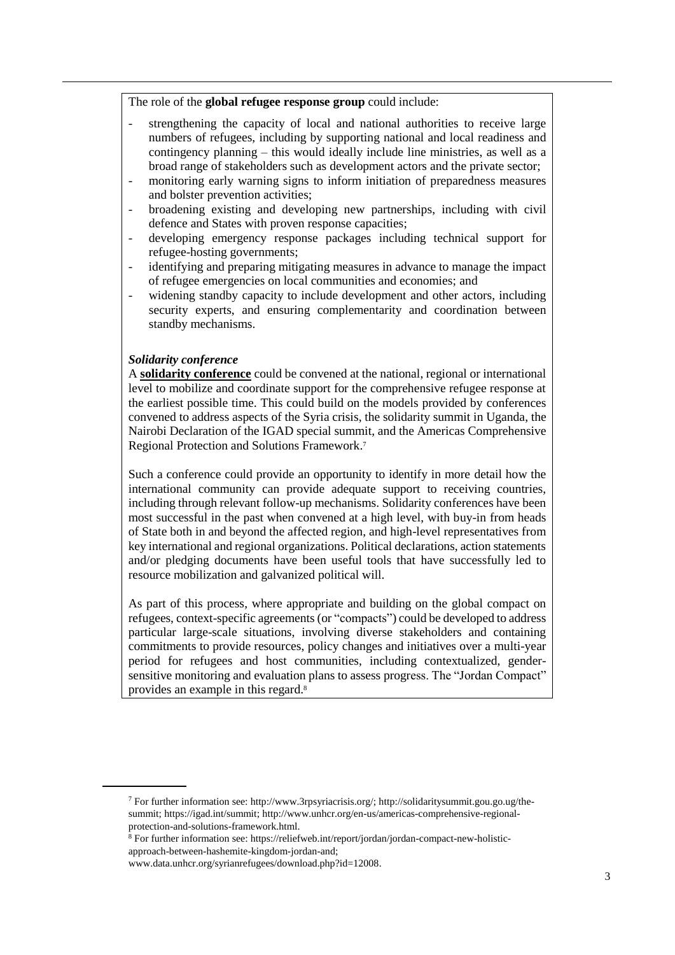The role of the **global refugee response group** could include:

- strengthening the capacity of local and national authorities to receive large numbers of refugees, including by supporting national and local readiness and contingency planning – this would ideally include line ministries, as well as a broad range of stakeholders such as development actors and the private sector;
- monitoring early warning signs to inform initiation of preparedness measures and bolster prevention activities;
- broadening existing and developing new partnerships, including with civil defence and States with proven response capacities;
- developing emergency response packages including technical support for refugee-hosting governments;
- identifying and preparing mitigating measures in advance to manage the impact of refugee emergencies on local communities and economies; and
- widening standby capacity to include development and other actors, including security experts, and ensuring complementarity and coordination between standby mechanisms.

#### *Solidarity conference*

A **solidarity conference** could be convened at the national, regional or international level to mobilize and coordinate support for the comprehensive refugee response at the earliest possible time. This could build on the models provided by conferences convened to address aspects of the Syria crisis, the solidarity summit in Uganda, the Nairobi Declaration of the IGAD special summit, and the Americas Comprehensive Regional Protection and Solutions Framework. 7

Such a conference could provide an opportunity to identify in more detail how the international community can provide adequate support to receiving countries, including through relevant follow-up mechanisms. Solidarity conferences have been most successful in the past when convened at a high level, with buy-in from heads of State both in and beyond the affected region, and high-level representatives from key international and regional organizations. Political declarations, action statements and/or pledging documents have been useful tools that have successfully led to resource mobilization and galvanized political will.

As part of this process, where appropriate and building on the global compact on refugees, context-specific agreements (or "compacts") could be developed to address particular large-scale situations, involving diverse stakeholders and containing commitments to provide resources, policy changes and initiatives over a multi-year period for refugees and host communities, including contextualized, gendersensitive monitoring and evaluation plans to assess progress. The "Jordan Compact" provides an example in this regard.<sup>8</sup>

<sup>7</sup> For further information see: [http://www.3rpsyriacrisis.org/;](http://www.3rpsyriacrisis.org/) [http://solidaritysummit.gou.go.ug/the](http://solidaritysummit.gou.go.ug/the-summit)[summit;](http://solidaritysummit.gou.go.ug/the-summit) [https://igad.int/summit;](https://igad.int/summit) http://www.unhcr.org/en-us/americas-comprehensive-regionalprotection-and-solutions-framework.html.

 $8$  For further information see: [https://reliefweb.int/report/jordan/jordan-compact-new-holistic](https://reliefweb.int/report/jordan/jordan-compact-new-holistic-approach-between-hashemite-kingdom-jordan-and)[approach-between-hashemite-kingdom-jordan-and;](https://reliefweb.int/report/jordan/jordan-compact-new-holistic-approach-between-hashemite-kingdom-jordan-and)

[www.data.unhcr.org/syrianrefugees/download.php?id=12008.](http://www.data.unhcr.org/syrianrefugees/download.php?id=12008)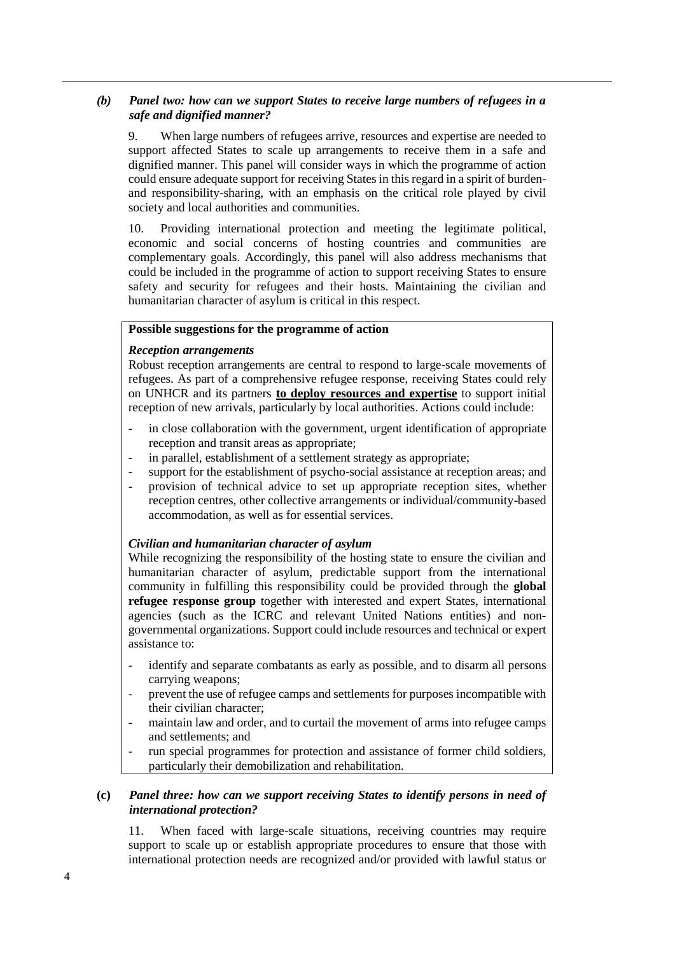## *(b) Panel two: how can we support States to receive large numbers of refugees in a safe and dignified manner?*

9. When large numbers of refugees arrive, resources and expertise are needed to support affected States to scale up arrangements to receive them in a safe and dignified manner. This panel will consider ways in which the programme of action could ensure adequate support for receiving States in this regard in a spirit of burdenand responsibility-sharing, with an emphasis on the critical role played by civil society and local authorities and communities.

10. Providing international protection and meeting the legitimate political, economic and social concerns of hosting countries and communities are complementary goals. Accordingly, this panel will also address mechanisms that could be included in the programme of action to support receiving States to ensure safety and security for refugees and their hosts. Maintaining the civilian and humanitarian character of asylum is critical in this respect.

## **Possible suggestions for the programme of action**

#### *Reception arrangements*

Robust reception arrangements are central to respond to large-scale movements of refugees. As part of a comprehensive refugee response, receiving States could rely on UNHCR and its partners **to deploy resources and expertise** to support initial reception of new arrivals, particularly by local authorities. Actions could include:

- in close collaboration with the government, urgent identification of appropriate reception and transit areas as appropriate;
- in parallel, establishment of a settlement strategy as appropriate;
- support for the establishment of psycho-social assistance at reception areas; and
- provision of technical advice to set up appropriate reception sites, whether reception centres, other collective arrangements or individual/community-based accommodation, as well as for essential services.

#### *Civilian and humanitarian character of asylum*

While recognizing the responsibility of the hosting state to ensure the civilian and humanitarian character of asylum, predictable support from the international community in fulfilling this responsibility could be provided through the **global refugee response group** together with interested and expert States, international agencies (such as the ICRC and relevant United Nations entities) and nongovernmental organizations. Support could include resources and technical or expert assistance to:

- identify and separate combatants as early as possible, and to disarm all persons carrying weapons;
- prevent the use of refugee camps and settlements for purposes incompatible with their civilian character;
- maintain law and order, and to curtail the movement of arms into refugee camps and settlements; and
- run special programmes for protection and assistance of former child soldiers, particularly their demobilization and rehabilitation.

#### **(c)** *Panel three: how can we support receiving States to identify persons in need of international protection?*

11. When faced with large-scale situations, receiving countries may require support to scale up or establish appropriate procedures to ensure that those with international protection needs are recognized and/or provided with lawful status or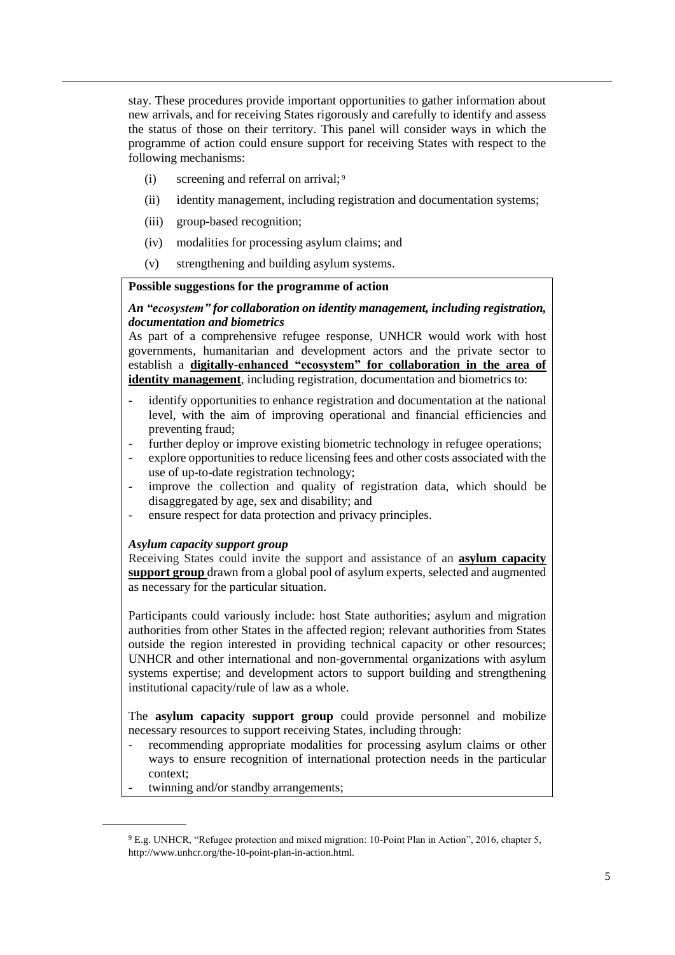stay. These procedures provide important opportunities to gather information about new arrivals, and for receiving States rigorously and carefully to identify and assess the status of those on their territory. This panel will consider ways in which the programme of action could ensure support for receiving States with respect to the following mechanisms:

- $(i)$  screening and referral on arrival;<sup>9</sup>
- (ii) identity management, including registration and documentation systems;
- (iii) group-based recognition;
- (iv) modalities for processing asylum claims; and
- (v) strengthening and building asylum systems.

#### **Possible suggestions for the programme of action**

## *An "ecosystem" for collaboration on identity management, including registration, documentation and biometrics*

As part of a comprehensive refugee response, UNHCR would work with host governments, humanitarian and development actors and the private sector to establish a **digitally-enhanced "ecosystem" for collaboration in the area of identity management**, including registration, documentation and biometrics to:

- identify opportunities to enhance registration and documentation at the national level, with the aim of improving operational and financial efficiencies and preventing fraud;
- further deploy or improve existing biometric technology in refugee operations;
- explore opportunities to reduce licensing fees and other costs associated with the use of up-to-date registration technology;
- improve the collection and quality of registration data, which should be disaggregated by age, sex and disability; and
- ensure respect for data protection and privacy principles.

#### *Asylum capacity support group*

Receiving States could invite the support and assistance of an **asylum capacity support group** drawn from a global pool of asylum experts, selected and augmented as necessary for the particular situation.

Participants could variously include: host State authorities; asylum and migration authorities from other States in the affected region; relevant authorities from States outside the region interested in providing technical capacity or other resources; UNHCR and other international and non-governmental organizations with asylum systems expertise; and development actors to support building and strengthening institutional capacity/rule of law as a whole.

The **asylum capacity support group** could provide personnel and mobilize necessary resources to support receiving States, including through:

- recommending appropriate modalities for processing asylum claims or other ways to ensure recognition of international protection needs in the particular context;
- twinning and/or standby arrangements;

<sup>9</sup> E.g. UNHCR, "Refugee protection and mixed migration: 10-Point Plan in Action", 2016, chapter 5, http://www.unhcr.org/the-10-point-plan-in-action.html.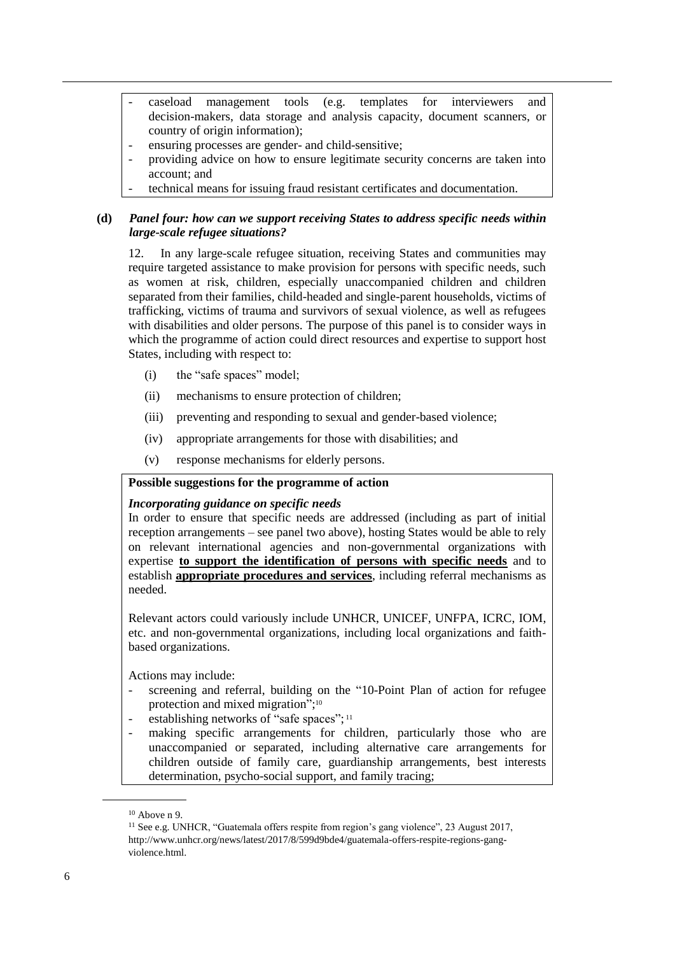- caseload management tools (e.g. templates for interviewers and decision-makers, data storage and analysis capacity, document scanners, or country of origin information);
- ensuring processes are gender- and child-sensitive;
- providing advice on how to ensure legitimate security concerns are taken into account; and
- technical means for issuing fraud resistant certificates and documentation.

### **(d)** *Panel four: how can we support receiving States to address specific needs within large-scale refugee situations?*

12. In any large-scale refugee situation, receiving States and communities may require targeted assistance to make provision for persons with specific needs, such as women at risk, children, especially unaccompanied children and children separated from their families, child-headed and single-parent households, victims of trafficking, victims of trauma and survivors of sexual violence, as well as refugees with disabilities and older persons. The purpose of this panel is to consider ways in which the programme of action could direct resources and expertise to support host States, including with respect to:

- (i) the "safe spaces" model;
- (ii) mechanisms to ensure protection of children;
- (iii) preventing and responding to sexual and gender-based violence;
- (iv) appropriate arrangements for those with disabilities; and
- (v) response mechanisms for elderly persons.

### **Possible suggestions for the programme of action**

#### *Incorporating guidance on specific needs*

In order to ensure that specific needs are addressed (including as part of initial reception arrangements – see panel two above), hosting States would be able to rely on relevant international agencies and non-governmental organizations with expertise **to support the identification of persons with specific needs** and to establish **appropriate procedures and services**, including referral mechanisms as needed.

Relevant actors could variously include UNHCR, UNICEF, UNFPA, ICRC, IOM, etc. and non-governmental organizations, including local organizations and faithbased organizations.

Actions may include:

- screening and referral, building on the "10-Point Plan of action for refugee protection and mixed migration";<sup>10</sup>
- establishing networks of "safe spaces";<sup>11</sup>
- making specific arrangements for children, particularly those who are unaccompanied or separated, including alternative care arrangements for children outside of family care, guardianship arrangements, best interests determination, psycho-social support, and family tracing;

 $10$  Above n 9.

<sup>&</sup>lt;sup>11</sup> See e.g. UNHCR, "Guatemala offers respite from region's gang violence", 23 August 2017, [http://www.unhcr.org/news/latest/2017/8/599d9bde4/guatemala-offers-respite-regions-gang](http://www.unhcr.org/news/latest/2017/8/599d9bde4/guatemala-offers-respite-regions-gang-violence.html)[violence.html.](http://www.unhcr.org/news/latest/2017/8/599d9bde4/guatemala-offers-respite-regions-gang-violence.html)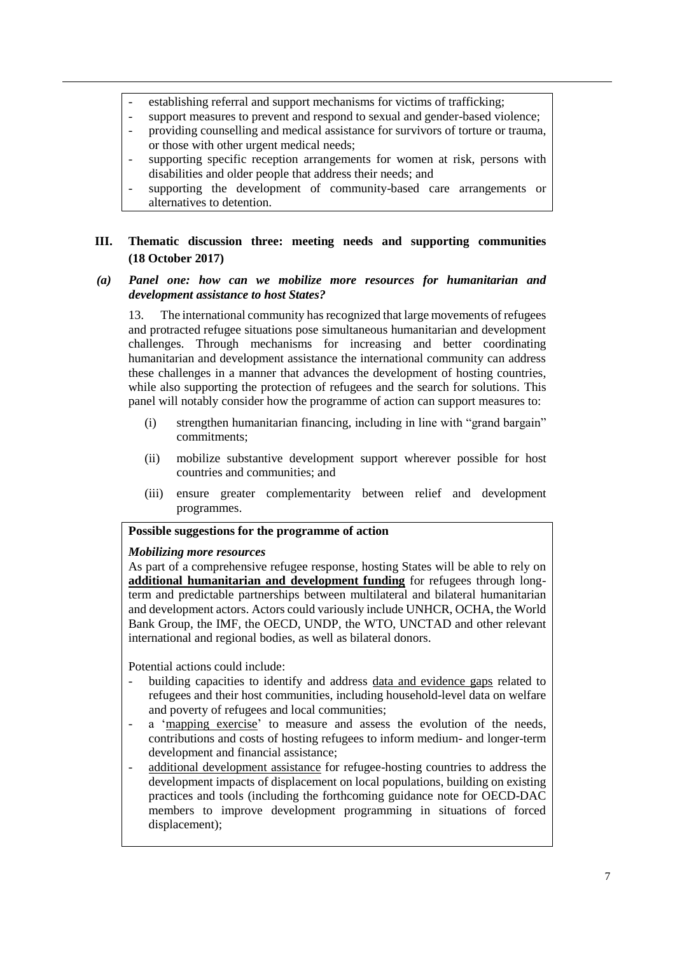- establishing referral and support mechanisms for victims of trafficking;
- support measures to prevent and respond to sexual and gender-based violence;
- providing counselling and medical assistance for survivors of torture or trauma, or those with other urgent medical needs;
- supporting specific reception arrangements for women at risk, persons with disabilities and older people that address their needs; and
- supporting the development of community-based care arrangements or alternatives to detention.

## **III. Thematic discussion three: meeting needs and supporting communities (18 October 2017)**

### *(a) Panel one: how can we mobilize more resources for humanitarian and development assistance to host States?*

13. The international community has recognized that large movements of refugees and protracted refugee situations pose simultaneous humanitarian and development challenges. Through mechanisms for increasing and better coordinating humanitarian and development assistance the international community can address these challenges in a manner that advances the development of hosting countries, while also supporting the protection of refugees and the search for solutions. This panel will notably consider how the programme of action can support measures to:

- (i) strengthen humanitarian financing, including in line with "grand bargain" commitments;
- (ii) mobilize substantive development support wherever possible for host countries and communities; and
- (iii) ensure greater complementarity between relief and development programmes.

### **Possible suggestions for the programme of action**

#### *Mobilizing more resources*

As part of a comprehensive refugee response, hosting States will be able to rely on **additional humanitarian and development funding** for refugees through longterm and predictable partnerships between multilateral and bilateral humanitarian and development actors. Actors could variously include UNHCR, OCHA, the World Bank Group, the IMF, the OECD, UNDP, the WTO, UNCTAD and other relevant international and regional bodies, as well as bilateral donors.

Potential actions could include:

- building capacities to identify and address data and evidence gaps related to refugees and their host communities, including household-level data on welfare and poverty of refugees and local communities;
- a 'mapping exercise' to measure and assess the evolution of the needs, contributions and costs of hosting refugees to inform medium- and longer-term development and financial assistance;
- additional development assistance for refugee-hosting countries to address the development impacts of displacement on local populations, building on existing practices and tools (including the forthcoming guidance note for OECD-DAC members to improve development programming in situations of forced displacement);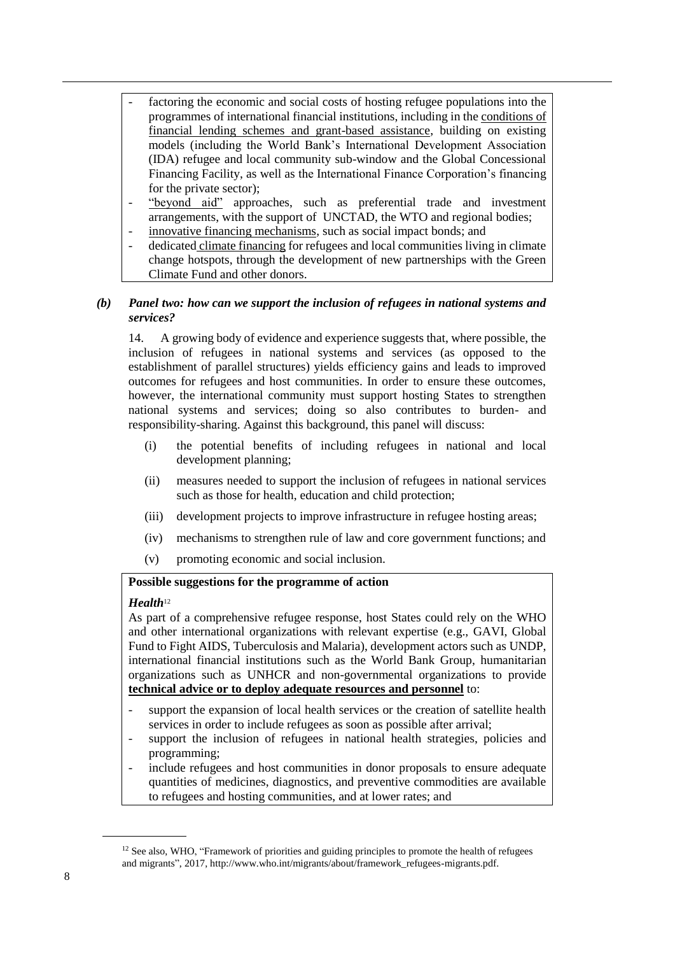- factoring the economic and social costs of hosting refugee populations into the programmes of international financial institutions, including in the conditions of financial lending schemes and grant-based assistance, building on existing models (including the World Bank's International Development Association (IDA) refugee and local community sub-window and the Global Concessional Financing Facility, as well as the International Finance Corporation's financing for the private sector);
- "beyond aid" approaches, such as preferential trade and investment arrangements, with the support of UNCTAD, the WTO and regional bodies;
- innovative financing mechanisms, such as social impact bonds; and
- dedicated climate financing for refugees and local communities living in climate change hotspots, through the development of new partnerships with the Green Climate Fund and other donors.

## *(b) Panel two: how can we support the inclusion of refugees in national systems and services?*

14. A growing body of evidence and experience suggests that, where possible, the inclusion of refugees in national systems and services (as opposed to the establishment of parallel structures) yields efficiency gains and leads to improved outcomes for refugees and host communities. In order to ensure these outcomes, however, the international community must support hosting States to strengthen national systems and services; doing so also contributes to burden- and responsibility-sharing. Against this background, this panel will discuss:

- (i) the potential benefits of including refugees in national and local development planning;
- (ii) measures needed to support the inclusion of refugees in national services such as those for health, education and child protection;
- (iii) development projects to improve infrastructure in refugee hosting areas;
- (iv) mechanisms to strengthen rule of law and core government functions; and
- (v) promoting economic and social inclusion.

#### **Possible suggestions for the programme of action**

#### *Health*<sup>12</sup>

As part of a comprehensive refugee response, host States could rely on the WHO and other international organizations with relevant expertise (e.g., GAVI, Global Fund to Fight AIDS, Tuberculosis and Malaria), development actors such as UNDP, international financial institutions such as the World Bank Group, humanitarian organizations such as UNHCR and non-governmental organizations to provide **technical advice or to deploy adequate resources and personnel** to:

- support the expansion of local health services or the creation of satellite health services in order to include refugees as soon as possible after arrival;
- support the inclusion of refugees in national health strategies, policies and programming;
- include refugees and host communities in donor proposals to ensure adequate quantities of medicines, diagnostics, and preventive commodities are available to refugees and hosting communities, and at lower rates; and

<sup>&</sup>lt;sup>12</sup> See also, WHO, "Framework of priorities and guiding principles to promote the health of refugees and migrants", 2017, http://www.who.int/migrants/about/framework\_refugees-migrants.pdf.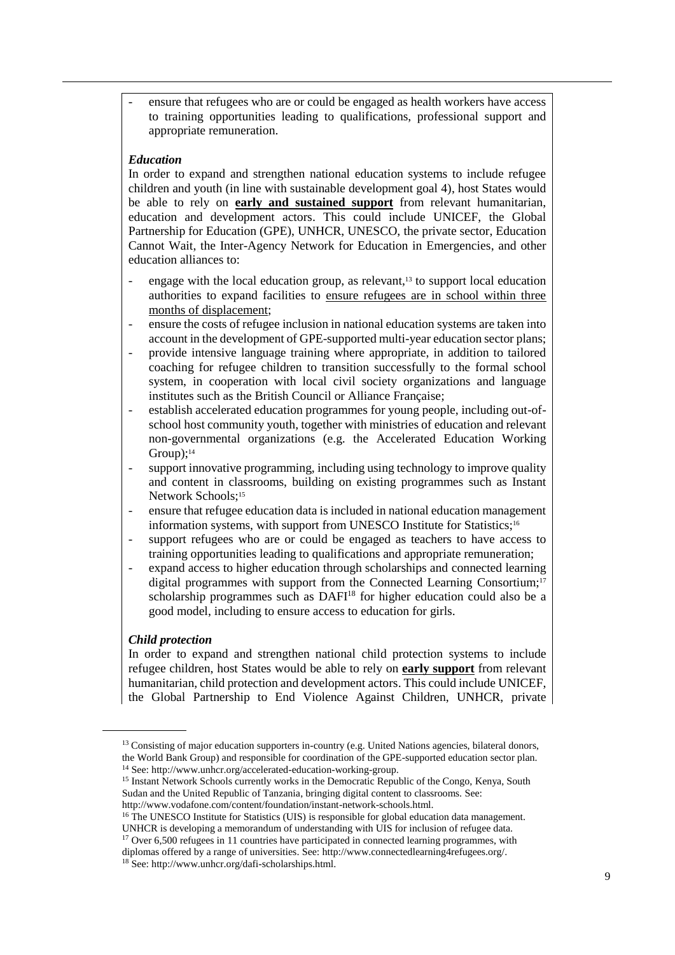ensure that refugees who are or could be engaged as health workers have access to training opportunities leading to qualifications, professional support and appropriate remuneration.

#### *Education*

In order to expand and strengthen national education systems to include refugee children and youth (in line with sustainable development goal 4), host States would be able to rely on **early and sustained support** from relevant humanitarian, education and development actors. This could include UNICEF, the Global Partnership for Education (GPE), UNHCR, UNESCO, the private sector, Education Cannot Wait, the Inter-Agency Network for Education in Emergencies, and other education alliances to:

- engage with the local education group, as relevant, $13$  to support local education authorities to expand facilities to ensure refugees are in school within three months of displacement;
- ensure the costs of refugee inclusion in national education systems are taken into account in the development of GPE-supported multi-year education sector plans;
- provide intensive language training where appropriate, in addition to tailored coaching for refugee children to transition successfully to the formal school system, in cooperation with local civil society organizations and language institutes such as the British Council or Alliance Française;
- establish accelerated education programmes for young people, including out-ofschool host community youth, together with ministries of education and relevant non-governmental organizations (e.g. the Accelerated Education Working Group); 14
- support innovative programming, including using technology to improve quality and content in classrooms, building on existing programmes such as Instant Network Schools:<sup>15</sup>
- ensure that refugee education data is included in national education management information systems, with support from UNESCO Institute for Statistics;<sup>16</sup>
- support refugees who are or could be engaged as teachers to have access to training opportunities leading to qualifications and appropriate remuneration;
- expand access to higher education through scholarships and connected learning digital programmes with support from the Connected Learning Consortium;<sup>17</sup> scholarship programmes such as DAFI<sup>18</sup> for higher education could also be a good model, including to ensure access to education for girls.

#### *Child protection*

In order to expand and strengthen national child protection systems to include refugee children, host States would be able to rely on **early support** from relevant humanitarian, child protection and development actors. This could include UNICEF, the Global Partnership to End Violence Against Children, UNHCR, private

<sup>&</sup>lt;sup>13</sup> Consisting of major education supporters in-country (e.g. United Nations agencies, bilateral donors, the World Bank Group) and responsible for coordination of the GPE-supported education sector plan. <sup>14</sup> See: [http://www.unhcr.org/accelerated-education-working-group.](http://www.unhcr.org/accelerated-education-working-group)

<sup>&</sup>lt;sup>15</sup> Instant Network Schools currently works in the Democratic Republic of the Congo, Kenya, South Sudan and the United Republic of Tanzania, bringing digital content to classrooms. See: http://www.vodafone.com/content/foundation/instant-network-schools.html.

<sup>&</sup>lt;sup>16</sup> The UNESCO Institute for Statistics (UIS) is responsible for global education data management. UNHCR is developing a memorandum of understanding with UIS for inclusion of refugee data.

<sup>&</sup>lt;sup>17</sup> Over 6,500 refugees in 11 countries have participated in connected learning programmes, with diplomas offered by a range of universities. See: [http://www.connectedlearning4refugees.org/.](http://www.connectedlearning4refugees.org/)

<sup>18</sup> See: http://www.unhcr.org/dafi-scholarships.html.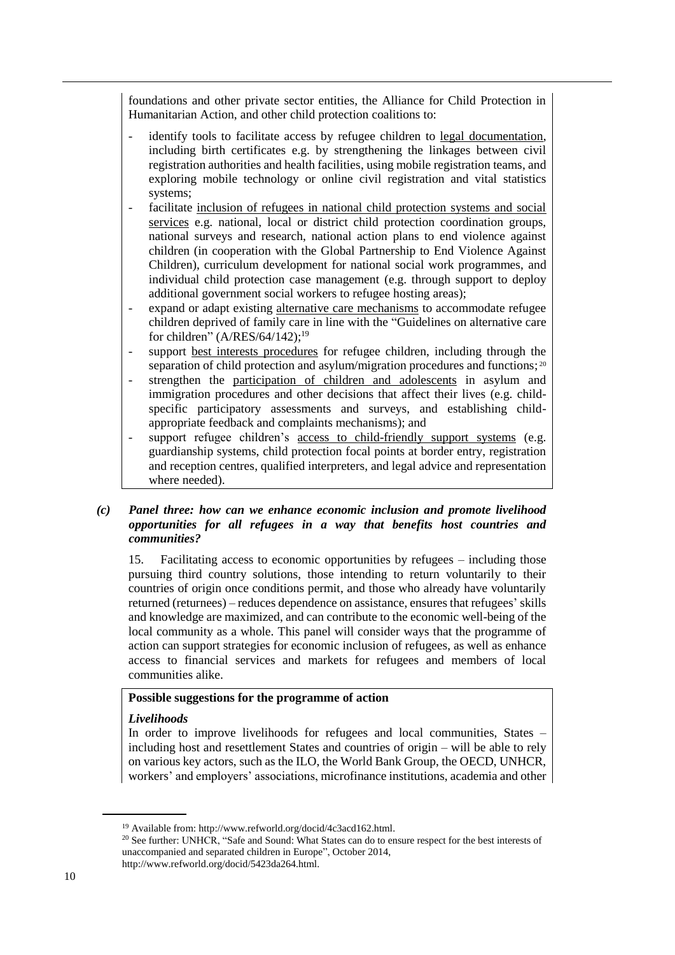foundations and other private sector entities, the Alliance for Child Protection in Humanitarian Action, and other child protection coalitions to:

- identify tools to facilitate access by refugee children to legal documentation, including birth certificates e.g. by strengthening the linkages between civil registration authorities and health facilities, using mobile registration teams, and exploring mobile technology or online civil registration and vital statistics systems;
- facilitate inclusion of refugees in national child protection systems and social services e.g. national, local or district child protection coordination groups, national surveys and research, national action plans to end violence against children (in cooperation with the Global Partnership to End Violence Against Children), curriculum development for national social work programmes, and individual child protection case management (e.g. through support to deploy additional government social workers to refugee hosting areas);
- expand or adapt existing alternative care mechanisms to accommodate refugee children deprived of family care in line with the "Guidelines on alternative care for children" (A/RES/64/142);<sup>19</sup>
- support best interests procedures for refugee children, including through the separation of child protection and asylum/migration procedures and functions;<sup>20</sup>
- strengthen the participation of children and adolescents in asylum and immigration procedures and other decisions that affect their lives (e.g. childspecific participatory assessments and surveys, and establishing childappropriate feedback and complaints mechanisms); and
- support refugee children's access to child-friendly support systems (e.g. guardianship systems, child protection focal points at border entry, registration and reception centres, qualified interpreters, and legal advice and representation where needed).

### *(c) Panel three: how can we enhance economic inclusion and promote livelihood opportunities for all refugees in a way that benefits host countries and communities?*

15. Facilitating access to economic opportunities by refugees – including those pursuing third country solutions, those intending to return voluntarily to their countries of origin once conditions permit, and those who already have voluntarily returned (returnees) – reduces dependence on assistance, ensures that refugees' skills and knowledge are maximized, and can contribute to the economic well-being of the local community as a whole. This panel will consider ways that the programme of action can support strategies for economic inclusion of refugees, as well as enhance access to financial services and markets for refugees and members of local communities alike.

## **Possible suggestions for the programme of action**

#### *Livelihoods*

In order to improve livelihoods for refugees and local communities, States – including host and resettlement States and countries of origin – will be able to rely on various key actors, such as the ILO, the World Bank Group, the OECD, UNHCR, workers' and employers' associations, microfinance institutions, academia and other

<sup>19</sup> Available from: http://www.refworld.org/docid/4c3acd162.html.

<sup>&</sup>lt;sup>20</sup> See further: UNHCR, "Safe and Sound: What States can do to ensure respect for the best interests of unaccompanied and separated children in Europe", October 2014,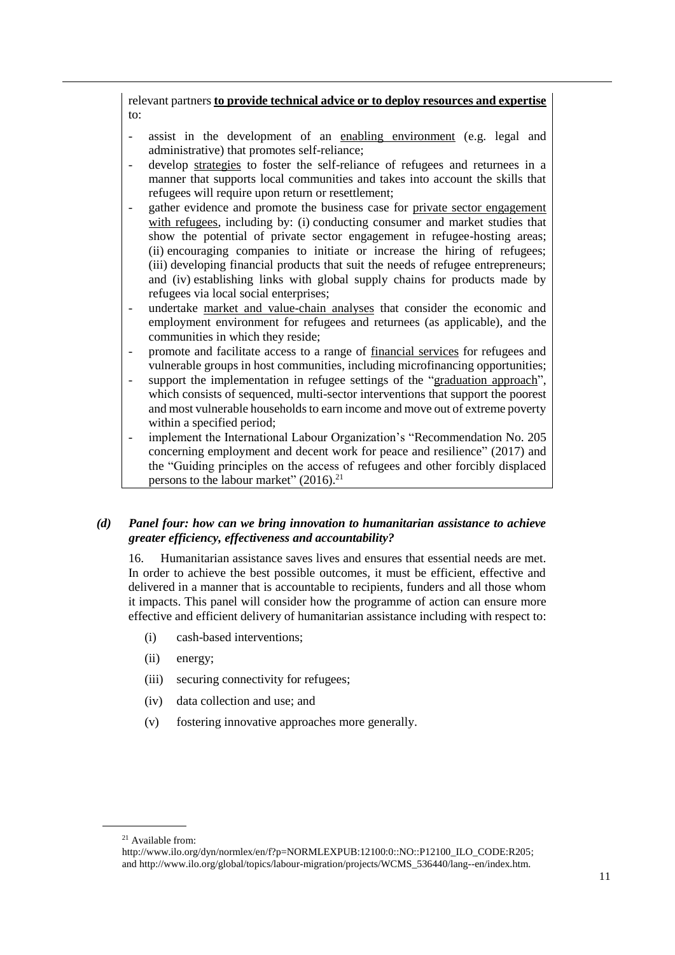relevant partners **to provide technical advice or to deploy resources and expertise** to:

- assist in the development of an enabling environment (e.g. legal and administrative) that promotes self-reliance;
- develop strategies to foster the self-reliance of refugees and returnees in a manner that supports local communities and takes into account the skills that refugees will require upon return or resettlement;
- gather evidence and promote the business case for private sector engagement with refugees, including by: (i) conducting consumer and market studies that show the potential of private sector engagement in refugee-hosting areas; (ii) encouraging companies to initiate or increase the hiring of refugees; (iii) developing financial products that suit the needs of refugee entrepreneurs; and (iv) establishing links with global supply chains for products made by refugees via local social enterprises;
- undertake market and value-chain analyses that consider the economic and employment environment for refugees and returnees (as applicable), and the communities in which they reside;
- promote and facilitate access to a range of <u>financial services</u> for refugees and vulnerable groups in host communities, including microfinancing opportunities;
- support the implementation in refugee settings of the "graduation approach", which consists of sequenced, multi-sector interventions that support the poorest and most vulnerable households to earn income and move out of extreme poverty within a specified period;
- implement the International Labour Organization's "Recommendation No. 205 concerning employment and decent work for peace and resilience" (2017) and the "Guiding principles on the access of refugees and other forcibly displaced persons to the labour market"  $(2016)^{21}$

## *(d) Panel four: how can we bring innovation to humanitarian assistance to achieve greater efficiency, effectiveness and accountability?*

16. Humanitarian assistance saves lives and ensures that essential needs are met. In order to achieve the best possible outcomes, it must be efficient, effective and delivered in a manner that is accountable to recipients, funders and all those whom it impacts. This panel will consider how the programme of action can ensure more effective and efficient delivery of humanitarian assistance including with respect to:

- (i) cash-based interventions;
- (ii) energy;
- (iii) securing connectivity for refugees;
- (iv) data collection and use; and
- (v) fostering innovative approaches more generally.

<sup>21</sup> Available from:

[http://www.ilo.org/dyn/normlex/en/f?p=NORMLEXPUB:12100:0::NO::P12100\\_ILO\\_CODE:R205;](http://www.ilo.org/dyn/normlex/en/f?p=NORMLEXPUB:12100:0::NO::P12100_ILO_CODE:R205) and http://www.ilo.org/global/topics/labour-migration/projects/WCMS\_536440/lang--en/index.htm.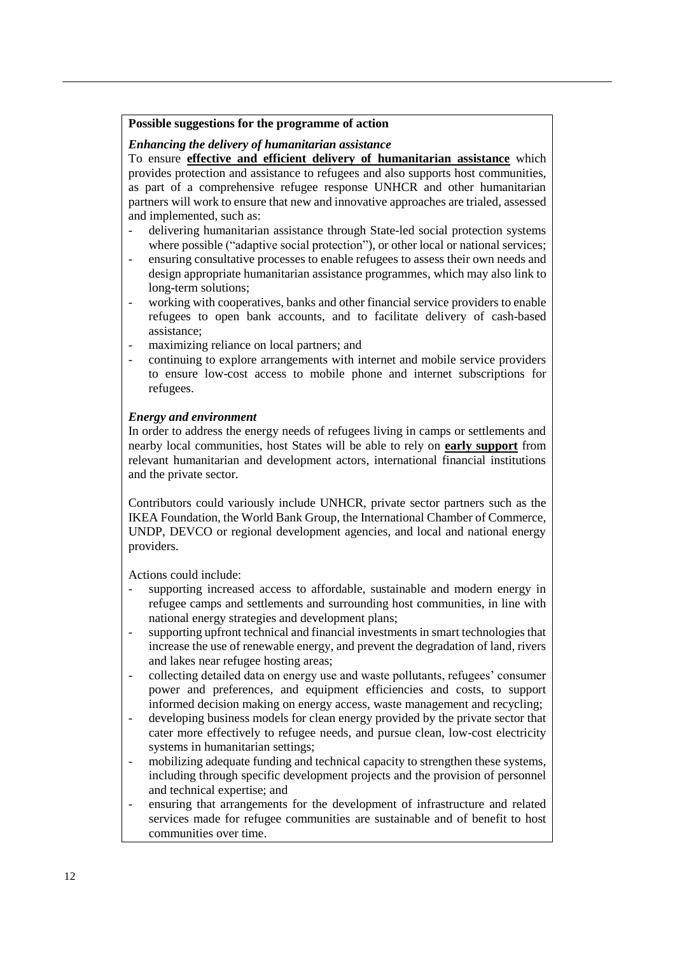#### **Possible suggestions for the programme of action**

#### *Enhancing the delivery of humanitarian assistance*

To ensure **effective and efficient delivery of humanitarian assistance** which provides protection and assistance to refugees and also supports host communities, as part of a comprehensive refugee response UNHCR and other humanitarian partners will work to ensure that new and innovative approaches are trialed, assessed and implemented, such as:

- delivering humanitarian assistance through State-led social protection systems where possible ("adaptive social protection"), or other local or national services;
- ensuring consultative processes to enable refugees to assess their own needs and design appropriate humanitarian assistance programmes, which may also link to long-term solutions;
- working with cooperatives, banks and other financial service providers to enable refugees to open bank accounts, and to facilitate delivery of cash-based assistance;
- maximizing reliance on local partners; and
- continuing to explore arrangements with internet and mobile service providers to ensure low-cost access to mobile phone and internet subscriptions for refugees.

## *Energy and environment*

In order to address the energy needs of refugees living in camps or settlements and nearby local communities, host States will be able to rely on **early support** from relevant humanitarian and development actors, international financial institutions and the private sector.

Contributors could variously include UNHCR, private sector partners such as the IKEA Foundation, the World Bank Group, the International Chamber of Commerce, UNDP, DEVCO or regional development agencies, and local and national energy providers.

Actions could include:

- supporting increased access to affordable, sustainable and modern energy in refugee camps and settlements and surrounding host communities, in line with national energy strategies and development plans;
- supporting upfront technical and financial investments in smart technologies that increase the use of renewable energy, and prevent the degradation of land, rivers and lakes near refugee hosting areas;
- collecting detailed data on energy use and waste pollutants, refugees' consumer power and preferences, and equipment efficiencies and costs, to support informed decision making on energy access, waste management and recycling;
- developing business models for clean energy provided by the private sector that cater more effectively to refugee needs, and pursue clean, low-cost electricity systems in humanitarian settings;
- mobilizing adequate funding and technical capacity to strengthen these systems, including through specific development projects and the provision of personnel and technical expertise; and
- ensuring that arrangements for the development of infrastructure and related services made for refugee communities are sustainable and of benefit to host communities over time.